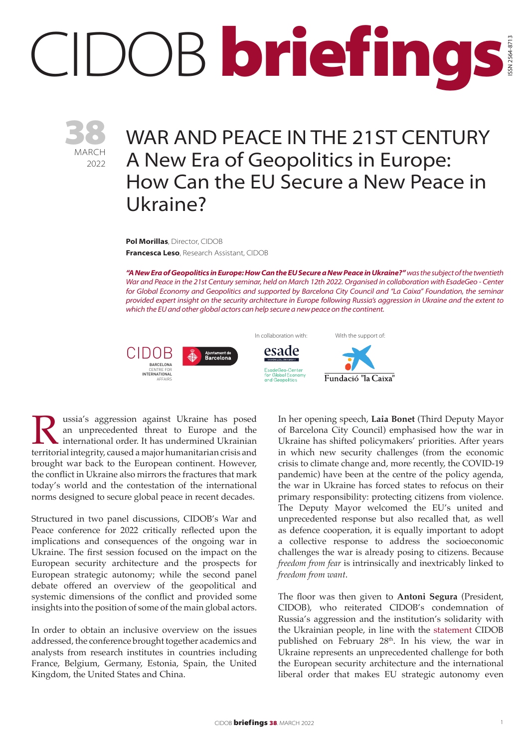## IDOB briefings ISSN 2564-8713



## WAR AND PEACE IN THE 21ST CENTURY A New Era of Geopolitics in Europe: How Can the EU Secure a New Peace in Ukraine?

**Pol Morillas**, Director, CIDOB **Francesca Leso**, Research Assistant, CIDOB

*"A New Era of Geopolitics in Europe: How Can the EU Secure a New Peace in Ukraine?" was the subject of the twentieth War and Peace in the 21st Century seminar, held on March 12th 2022. Organised in collaboration with EsadeGeo - Center for Global Economy and Geopolitics and supported by Barcelona City Council and "La Caixa" Foundation, the seminar provided expert insight on the security architecture in Europe following Russia's aggression in Ukraine and the extent to which the EU and other global actors can help secure a new peace on the continent.*



**Russia's aggression against Ukraine has posed an unprecedented threat to Europe and the international order. It has undermined Ukrainian territorial integrity, caused a major humanitarian crisis and** an unprecedented threat to Europe and the international order. It has undermined Ukrainian brought war back to the European continent. However, the conflict in Ukraine also mirrors the fractures that mark today's world and the contestation of the international norms designed to secure global peace in recent decades.

Structured in two panel discussions, CIDOB's War and Peace conference for 2022 critically reflected upon the implications and consequences of the ongoing war in Ukraine. The first session focused on the impact on the European security architecture and the prospects for European strategic autonomy; while the second panel debate offered an overview of the geopolitical and systemic dimensions of the conflict and provided some insights into the position of some of the main global actors.

In order to obtain an inclusive overview on the issues addressed, the conference brought together academics and analysts from research institutes in countries including France, Belgium, Germany, Estonia, Spain, the United Kingdom, the United States and China.

In her opening speech, **Laia Bonet** (Third Deputy Mayor of Barcelona City Council) emphasised how the war in Ukraine has shifted policymakers' priorities. After years in which new security challenges (from the economic crisis to climate change and, more recently, the COVID-19 pandemic) have been at the centre of the policy agenda, the war in Ukraine has forced states to refocus on their primary responsibility: protecting citizens from violence. The Deputy Mayor welcomed the EU's united and unprecedented response but also recalled that, as well as defence cooperation, it is equally important to adopt a collective response to address the socioeconomic challenges the war is already posing to citizens. Because *freedom from fear* is intrinsically and inextricably linked to *freedom from want*.

The floor was then given to **Antoni Segura** (President, CIDOB), who reiterated CIDOB's condemnation of Russia's aggression and the institution's solidarity with the Ukrainian people, in line with the [statement](https://www.cidob.org/en/news/thematic_lines_of_research/cidob/cidob_statement_on_the_military_aggression_against_ukraine) CIDOB published on February 28<sup>th</sup>. In his view, the war in Ukraine represents an unprecedented challenge for both the European security architecture and the international liberal order that makes EU strategic autonomy even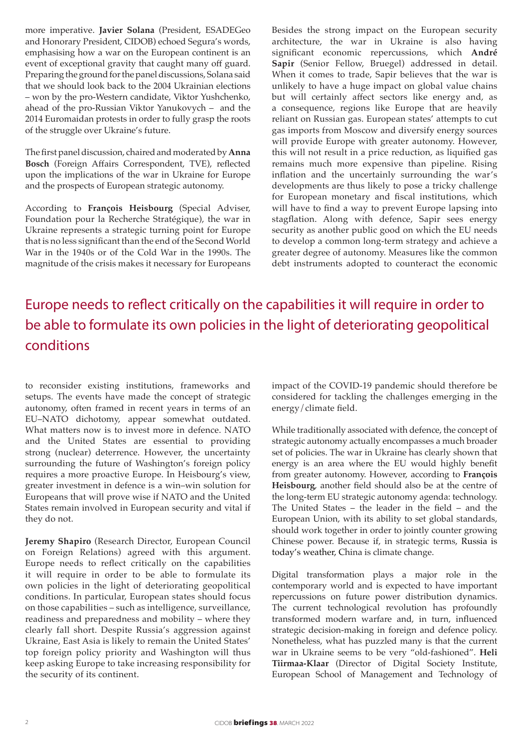more imperative. **Javier Solana** (President, ESADEGeo and Honorary President, CIDOB) echoed Segura's words, emphasising how a war on the European continent is an event of exceptional gravity that caught many off guard. Preparing the ground for the panel discussions, Solana said that we should look back to the 2004 Ukrainian elections – won by the pro-Western candidate, Viktor Yushchenko, ahead of the pro-Russian Viktor Yanukovych – and the 2014 Euromaidan protests in order to fully grasp the roots of the struggle over Ukraine's future.

The first panel discussion, chaired and moderated by **Anna Bosch** (Foreign Affairs Correspondent, TVE), reflected upon the implications of the war in Ukraine for Europe and the prospects of European strategic autonomy.

According to **François Heisbourg** (Special Adviser, Foundation pour la Recherche Stratégique), the war in Ukraine represents a strategic turning point for Europe that is no less significant than the end of the Second World War in the 1940s or of the Cold War in the 1990s. The magnitude of the crisis makes it necessary for Europeans Besides the strong impact on the European security architecture, the war in Ukraine is also having significant economic repercussions, which **André Sapir** (Senior Fellow, Bruegel) addressed in detail. When it comes to trade, Sapir believes that the war is unlikely to have a huge impact on global value chains but will certainly affect sectors like energy and, as a consequence, regions like Europe that are heavily reliant on Russian gas. European states' attempts to cut gas imports from Moscow and diversify energy sources will provide Europe with greater autonomy. However, this will not result in a price reduction, as liquified gas remains much more expensive than pipeline. Rising inflation and the uncertainly surrounding the war's developments are thus likely to pose a tricky challenge for European monetary and fiscal institutions, which will have to find a way to prevent Europe lapsing into stagflation. Along with defence, Sapir sees energy security as another public good on which the EU needs to develop a common long-term strategy and achieve a greater degree of autonomy. Measures like the common debt instruments adopted to counteract the economic

## Europe needs to reflect critically on the capabilities it will require in order to be able to formulate its own policies in the light of deteriorating geopolitical conditions

to reconsider existing institutions, frameworks and setups. The events have made the concept of strategic autonomy, often framed in recent years in terms of an EU–NATO dichotomy, appear somewhat outdated. What matters now is to invest more in defence. NATO and the United States are essential to providing strong (nuclear) deterrence. However, the uncertainty surrounding the future of Washington's foreign policy requires a more proactive Europe. In Heisbourg's view, greater investment in defence is a win–win solution for Europeans that will prove wise if NATO and the United States remain involved in European security and vital if they do not.

**Jeremy Shapiro** (Research Director, European Council on Foreign Relations) agreed with this argument. Europe needs to reflect critically on the capabilities it will require in order to be able to formulate its own policies in the light of deteriorating geopolitical conditions. In particular, European states should focus on those capabilities – such as intelligence, surveillance, readiness and preparedness and mobility – where they clearly fall short. Despite Russia's aggression against Ukraine, East Asia is likely to remain the United States' top foreign policy priority and Washington will thus keep asking Europe to take increasing responsibility for the security of its continent.

impact of the COVID-19 pandemic should therefore be considered for tackling the challenges emerging in the energy/climate field.

While traditionally associated with defence, the concept of strategic autonomy actually encompasses a much broader set of policies. The war in Ukraine has clearly shown that energy is an area where the EU would highly benefit from greater autonomy. However, according to **François Heisbourg**, another field should also be at the centre of the long-term EU strategic autonomy agenda: technology. The United States – the leader in the field – and the European Union, with its ability to set global standards, should work together in order to jointly counter growing Chinese power. Because if, in strategic terms, Russia is today's weather, China is climate change.

Digital transformation plays a major role in the contemporary world and is expected to have important repercussions on future power distribution dynamics. The current technological revolution has profoundly transformed modern warfare and, in turn, influenced strategic decision-making in foreign and defence policy. Nonetheless, what has puzzled many is that the current war in Ukraine seems to be very "old-fashioned". **Heli Tiirmaa-Klaar** (Director of Digital Society Institute, European School of Management and Technology of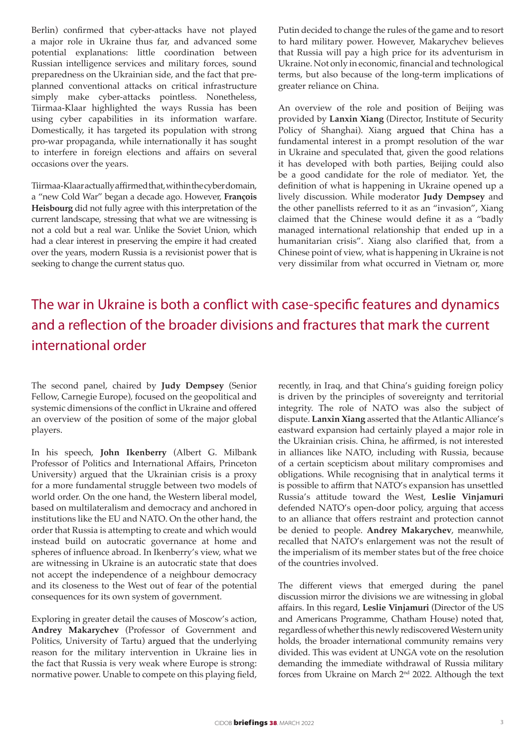Berlin) confirmed that cyber-attacks have not played a major role in Ukraine thus far, and advanced some potential explanations: little coordination between Russian intelligence services and military forces, sound preparedness on the Ukrainian side, and the fact that preplanned conventional attacks on critical infrastructure simply make cyber-attacks pointless. Nonetheless, Tiirmaa-Klaar highlighted the ways Russia has been using cyber capabilities in its information warfare. Domestically, it has targeted its population with strong pro-war propaganda, while internationally it has sought to interfere in foreign elections and affairs on several occasions over the years.

Tiirmaa-Klaar actually affirmed that, within the cyber domain, a "new Cold War" began a decade ago. However, **François Heisbourg** did not fully agree with this interpretation of the current landscape, stressing that what we are witnessing is not a cold but a real war. Unlike the Soviet Union, which had a clear interest in preserving the empire it had created over the years, modern Russia is a revisionist power that is seeking to change the current status quo.

Putin decided to change the rules of the game and to resort to hard military power. However, Makarychev believes that Russia will pay a high price for its adventurism in Ukraine. Not only in economic, financial and technological terms, but also because of the long-term implications of greater reliance on China.

An overview of the role and position of Beijing was provided by **Lanxin Xiang** (Director, Institute of Security Policy of Shanghai). Xiang argued that China has a fundamental interest in a prompt resolution of the war in Ukraine and speculated that, given the good relations it has developed with both parties, Beijing could also be a good candidate for the role of mediator. Yet, the definition of what is happening in Ukraine opened up a lively discussion. While moderator **Judy Dempsey** and the other panellists referred to it as an "invasion", Xiang claimed that the Chinese would define it as a "badly managed international relationship that ended up in a humanitarian crisis". Xiang also clarified that, from a Chinese point of view, what is happening in Ukraine is not very dissimilar from what occurred in Vietnam or, more

## The war in Ukraine is both a conflict with case-specific features and dynamics and a reflection of the broader divisions and fractures that mark the current international order

The second panel, chaired by **Judy Dempsey** (Senior Fellow, Carnegie Europe), focused on the geopolitical and systemic dimensions of the conflict in Ukraine and offered an overview of the position of some of the major global players.

In his speech, **John Ikenberry** (Albert G. Milbank Professor of Politics and International Affairs, Princeton University) argued that the Ukrainian crisis is a proxy for a more fundamental struggle between two models of world order. On the one hand, the Western liberal model, based on multilateralism and democracy and anchored in institutions like the EU and NATO. On the other hand, the order that Russia is attempting to create and which would instead build on autocratic governance at home and spheres of influence abroad. In Ikenberry's view, what we are witnessing in Ukraine is an autocratic state that does not accept the independence of a neighbour democracy and its closeness to the West out of fear of the potential consequences for its own system of government.

Exploring in greater detail the causes of Moscow's action, **Andrey Makarychev** (Professor of Government and Politics, University of Tartu) argued that the underlying reason for the military intervention in Ukraine lies in the fact that Russia is very weak where Europe is strong: normative power. Unable to compete on this playing field,

recently, in Iraq, and that China's guiding foreign policy is driven by the principles of sovereignty and territorial integrity. The role of NATO was also the subject of dispute. **Lanxin Xiang** asserted that the Atlantic Alliance's eastward expansion had certainly played a major role in the Ukrainian crisis. China, he affirmed, is not interested in alliances like NATO, including with Russia, because of a certain scepticism about military compromises and obligations. While recognising that in analytical terms it is possible to affirm that NATO's expansion has unsettled Russia's attitude toward the West, **Leslie Vinjamuri** defended NATO's open-door policy, arguing that access to an alliance that offers restraint and protection cannot be denied to people. **Andrey Makarychev**, meanwhile, recalled that NATO's enlargement was not the result of the imperialism of its member states but of the free choice of the countries involved.

The different views that emerged during the panel discussion mirror the divisions we are witnessing in global affairs. In this regard, **Leslie Vinjamuri** (Director of the US and Americans Programme, Chatham House) noted that, regardless of whether this newly rediscovered Western unity holds, the broader international community remains very divided. This was evident at UNGA vote on the resolution demanding the immediate withdrawal of Russia military forces from Ukraine on March 2nd 2022. Although the text